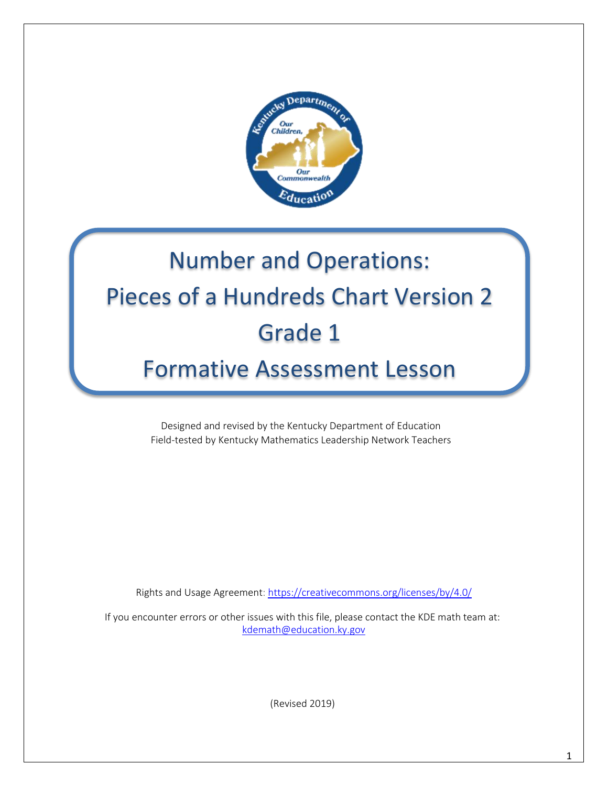

# Number and Operations: Pieces of a Hundreds Chart Version 2 Grade 1

Formative Assessment Lesson

Designed and revised by the Kentucky Department of Education Field-tested by Kentucky Mathematics Leadership Network Teachers

Rights and Usage Agreement:<https://creativecommons.org/licenses/by/4.0/>

If you encounter errors or other issues with this file, please contact the KDE math team at: [kdemath@education.ky.gov](mailto:kdemath@education.ky.gov)

(Revised 2019)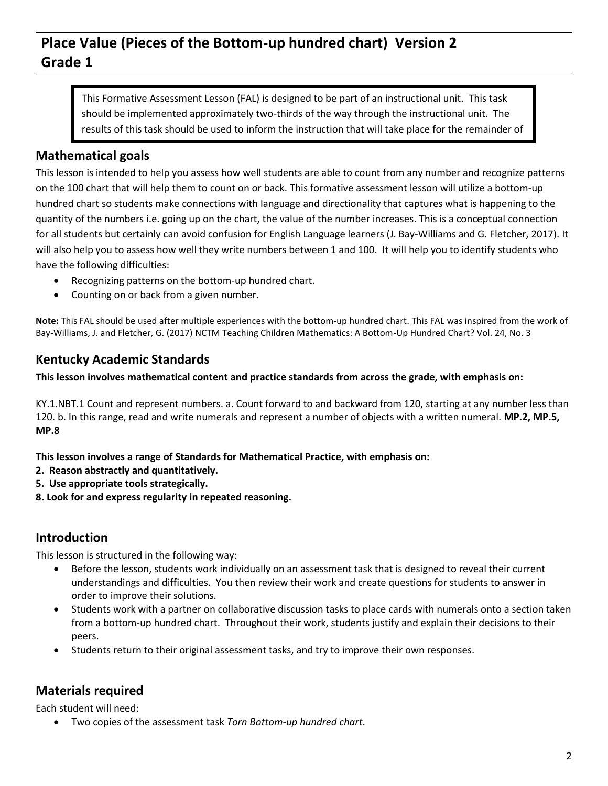### **Place Value (Pieces of the Bottom-up hundred chart) Version 2 Grade 1**

This Formative Assessment Lesson (FAL) is designed to be part of an instructional unit. This task should be implemented approximately two-thirds of the way through the instructional unit. The results of this task should be used to inform the instruction that will take place for the remainder of

#### **Mathematical goals** your unit.

This lesson is intended to help you assess how well students are able to count from any number and recognize patterns on the 100 chart that will help them to count on or back. This formative assessment lesson will utilize a bottom-up hundred chart so students make connections with language and directionality that captures what is happening to the quantity of the numbers i.e. going up on the chart, the value of the number increases. This is a conceptual connection for all students but certainly can avoid confusion for English Language learners (J. Bay-Williams and G. Fletcher, 2017). It will also help you to assess how well they write numbers between 1 and 100. It will help you to identify students who have the following difficulties:

- Recognizing patterns on the bottom-up hundred chart.
- Counting on or back from a given number.

**Note:** This FAL should be used after multiple experiences with the bottom-up hundred chart. This FAL was inspired from the work of Bay-Williams, J. and Fletcher, G. (2017) NCTM Teaching Children Mathematics: A Bottom-Up Hundred Chart? Vol. 24, No. 3

#### **Kentucky Academic Standards**

**This lesson involves mathematical content and practice standards from across the grade, with emphasis on:**

KY.1.NBT.1 Count and represent numbers. a. Count forward to and backward from 120, starting at any number less than 120. b. In this range, read and write numerals and represent a number of objects with a written numeral. **MP.2, MP.5, MP.8**

**This lesson involves a range of Standards for Mathematical Practice, with emphasis on:**

- **2. Reason abstractly and quantitatively.**
- **5. Use appropriate tools strategically.**
- **8. Look for and express regularity in repeated reasoning.**

#### **Introduction**

This lesson is structured in the following way:

- Before the lesson, students work individually on an assessment task that is designed to reveal their current understandings and difficulties. You then review their work and create questions for students to answer in order to improve their solutions.
- Students work with a partner on collaborative discussion tasks to place cards with numerals onto a section taken from a bottom-up hundred chart. Throughout their work, students justify and explain their decisions to their peers.
- Students return to their original assessment tasks, and try to improve their own responses.

#### **Materials required**

Each student will need:

Two copies of the assessment task *Torn Bottom-up hundred chart*.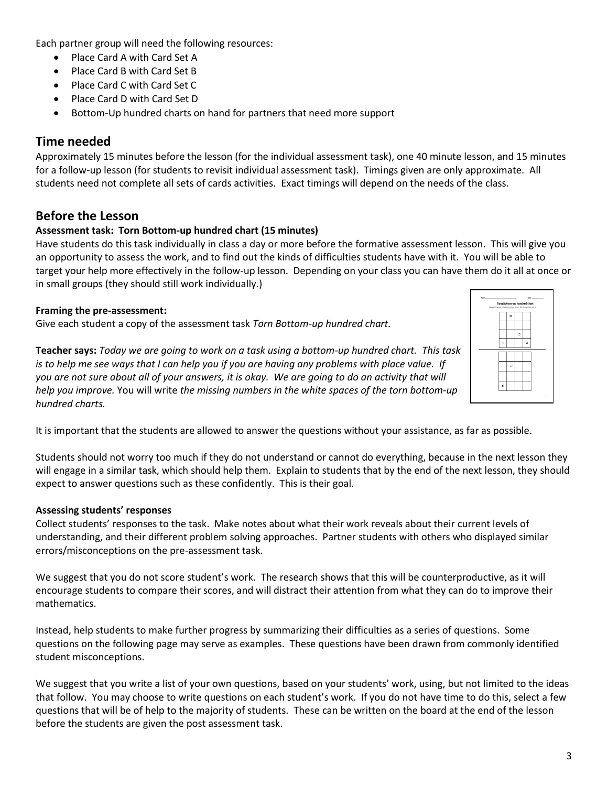Each partner group will need the following resources:

- Place Card A with Card Set A
- Place Card B with Card Set B
- Place Card C with Card Set C
- Place Card D with Card Set D
- Bottom-Up hundred charts on hand for partners that need more support

#### **Time needed**

Approximately 15 minutes before the lesson (for the individual assessment task), one 40 minute lesson, and 15 minutes for a follow-up lesson (for students to revisit individual assessment task). Timings given are only approximate. All students need not complete all sets of cards activities. Exact timings will depend on the needs of the class.

#### **Before the Lesson**

#### **Assessment task: Torn Bottom-up hundred chart (15 minutes)**

Have students do this task individually in class a day or more before the formative assessment lesson. This will give you an opportunity to assess the work, and to find out the kinds of difficulties students have with it. You will be able to target your help more effectively in the follow-up lesson. Depending on your class you can have them do it all at once or in small groups (they should still work individually.)

#### **Framing the pre-assessment:**

Give each student a copy of the assessment task *Torn Bottom-up hundred chart.*



**Teacher says:** *Today we are going to work on a task using a bottom-up hundred chart. This task is to help me see ways that I can help you if you are having any problems with place value. If you are not sure about all of your answers, it is okay. We are going to do an activity that will help you improve.* You will write *the missing numbers in the white spaces of the torn bottom-up hundred charts.*

It is important that the students are allowed to answer the questions without your assistance, as far as possible.

Students should not worry too much if they do not understand or cannot do everything, because in the next lesson they will engage in a similar task, which should help them. Explain to students that by the end of the next lesson, they should expect to answer questions such as these confidently. This is their goal.

#### **Assessing students' responses**

Collect students' responses to the task. Make notes about what their work reveals about their current levels of understanding, and their different problem solving approaches. Partner students with others who displayed similar errors/misconceptions on the pre-assessment task.

We suggest that you do not score student's work. The research shows that this will be counterproductive, as it will encourage students to compare their scores, and will distract their attention from what they can do to improve their mathematics.

Instead, help students to make further progress by summarizing their difficulties as a series of questions. Some questions on the following page may serve as examples. These questions have been drawn from commonly identified student misconceptions.

We suggest that you write a list of your own questions, based on your students' work, using, but not limited to the ideas that follow. You may choose to write questions on each student's work. If you do not have time to do this, select a few questions that will be of help to the majority of students. These can be written on the board at the end of the lesson before the students are given the post assessment task.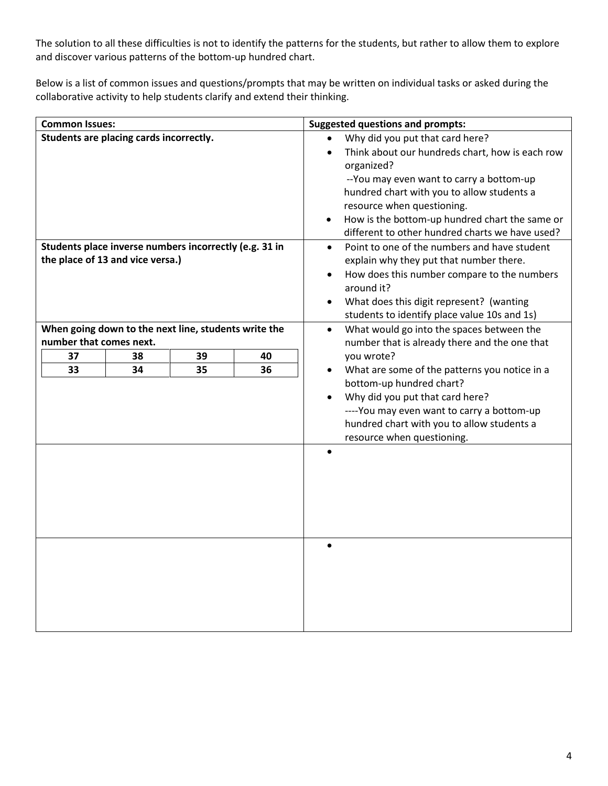The solution to all these difficulties is not to identify the patterns for the students, but rather to allow them to explore and discover various patterns of the bottom-up hundred chart.

Below is a list of common issues and questions/prompts that may be written on individual tasks or asked during the collaborative activity to help students clarify and extend their thinking.

| <b>Common Issues:</b>                                  |                                  |          |          | <b>Suggested questions and prompts:</b>                                                                                                                                                                                                                                                                                        |
|--------------------------------------------------------|----------------------------------|----------|----------|--------------------------------------------------------------------------------------------------------------------------------------------------------------------------------------------------------------------------------------------------------------------------------------------------------------------------------|
| Students are placing cards incorrectly.                |                                  |          |          | Why did you put that card here?<br>Think about our hundreds chart, how is each row<br>organized?<br>-- You may even want to carry a bottom-up<br>hundred chart with you to allow students a<br>resource when questioning.<br>How is the bottom-up hundred chart the same or<br>different to other hundred charts we have used? |
| Students place inverse numbers incorrectly (e.g. 31 in |                                  |          |          | Point to one of the numbers and have student<br>$\bullet$                                                                                                                                                                                                                                                                      |
|                                                        | the place of 13 and vice versa.) |          |          | explain why they put that number there.<br>How does this number compare to the numbers<br>$\bullet$<br>around it?<br>What does this digit represent? (wanting<br>students to identify place value 10s and 1s)                                                                                                                  |
| When going down to the next line, students write the   |                                  |          |          | What would go into the spaces between the<br>$\bullet$                                                                                                                                                                                                                                                                         |
| number that comes next.                                |                                  |          |          | number that is already there and the one that                                                                                                                                                                                                                                                                                  |
| 37<br>33                                               | 38<br>34                         | 39<br>35 | 40<br>36 | you wrote?<br>What are some of the patterns you notice in a                                                                                                                                                                                                                                                                    |
|                                                        |                                  |          |          | bottom-up hundred chart?<br>Why did you put that card here?<br>---- You may even want to carry a bottom-up<br>hundred chart with you to allow students a<br>resource when questioning.                                                                                                                                         |
|                                                        |                                  |          |          | $\bullet$                                                                                                                                                                                                                                                                                                                      |
|                                                        |                                  |          |          |                                                                                                                                                                                                                                                                                                                                |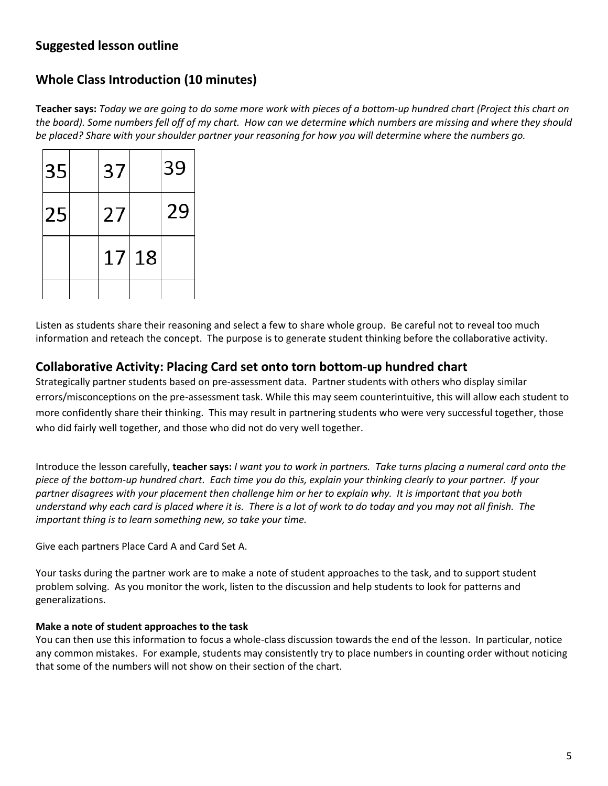#### **Suggested lesson outline**

#### **Whole Class Introduction (10 minutes)**

**Teacher says:** *Today we are going to do some more work with pieces of a bottom-up hundred chart (Project this chart on the board). Some numbers fell off of my chart. How can we determine which numbers are missing and where they should be placed? Share with your shoulder partner your reasoning for how you will determine where the numbers go.*

| 35 | 37 |       | 39 |
|----|----|-------|----|
| 25 | 27 |       | 29 |
|    |    | 17 18 |    |
|    |    |       |    |

Listen as students share their reasoning and select a few to share whole group. Be careful not to reveal too much information and reteach the concept. The purpose is to generate student thinking before the collaborative activity.

#### **Collaborative Activity: Placing Card set onto torn bottom-up hundred chart**

Strategically partner students based on pre-assessment data. Partner students with others who display similar errors/misconceptions on the pre-assessment task. While this may seem counterintuitive, this will allow each student to more confidently share their thinking. This may result in partnering students who were very successful together, those who did fairly well together, and those who did not do very well together.

Introduce the lesson carefully, **teacher says:** *I want you to work in partners. Take turns placing a numeral card onto the piece of the bottom-up hundred chart. Each time you do this, explain your thinking clearly to your partner. If your partner disagrees with your placement then challenge him or her to explain why. It is important that you both understand why each card is placed where it is. There is a lot of work to do today and you may not all finish. The important thing is to learn something new, so take your time.*

Give each partners Place Card A and Card Set A.

Your tasks during the partner work are to make a note of student approaches to the task, and to support student problem solving. As you monitor the work, listen to the discussion and help students to look for patterns and generalizations.

#### **Make a note of student approaches to the task**

You can then use this information to focus a whole-class discussion towards the end of the lesson. In particular, notice any common mistakes. For example, students may consistently try to place numbers in counting order without noticing that some of the numbers will not show on their section of the chart.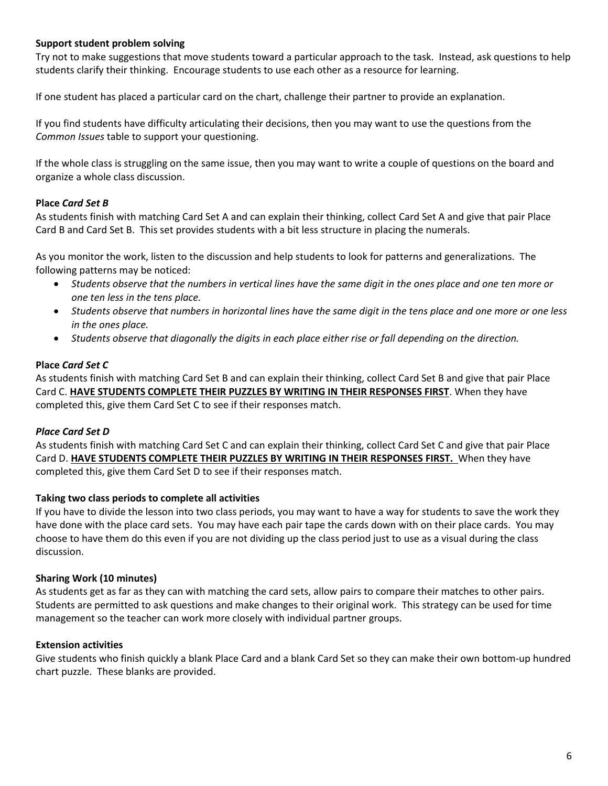#### **Support student problem solving**

Try not to make suggestions that move students toward a particular approach to the task. Instead, ask questions to help students clarify their thinking. Encourage students to use each other as a resource for learning.

If one student has placed a particular card on the chart, challenge their partner to provide an explanation.

If you find students have difficulty articulating their decisions, then you may want to use the questions from the *Common Issues* table to support your questioning.

If the whole class is struggling on the same issue, then you may want to write a couple of questions on the board and organize a whole class discussion.

#### **Place** *Card Set B*

As students finish with matching Card Set A and can explain their thinking, collect Card Set A and give that pair Place Card B and Card Set B. This set provides students with a bit less structure in placing the numerals.

As you monitor the work, listen to the discussion and help students to look for patterns and generalizations. The following patterns may be noticed:

- *Students observe that the numbers in vertical lines have the same digit in the ones place and one ten more or one ten less in the tens place.*
- *Students observe that numbers in horizontal lines have the same digit in the tens place and one more or one less in the ones place.*
- *Students observe that diagonally the digits in each place either rise or fall depending on the direction.*

#### **Place** *Card Set C*

As students finish with matching Card Set B and can explain their thinking, collect Card Set B and give that pair Place Card C. **HAVE STUDENTS COMPLETE THEIR PUZZLES BY WRITING IN THEIR RESPONSES FIRST**. When they have completed this, give them Card Set C to see if their responses match.

#### *Place Card Set D*

As students finish with matching Card Set C and can explain their thinking, collect Card Set C and give that pair Place Card D. **HAVE STUDENTS COMPLETE THEIR PUZZLES BY WRITING IN THEIR RESPONSES FIRST.** When they have completed this, give them Card Set D to see if their responses match.

#### **Taking two class periods to complete all activities**

If you have to divide the lesson into two class periods, you may want to have a way for students to save the work they have done with the place card sets. You may have each pair tape the cards down with on their place cards. You may choose to have them do this even if you are not dividing up the class period just to use as a visual during the class discussion.

#### **Sharing Work (10 minutes)**

As students get as far as they can with matching the card sets, allow pairs to compare their matches to other pairs. Students are permitted to ask questions and make changes to their original work. This strategy can be used for time management so the teacher can work more closely with individual partner groups.

#### **Extension activities**

Give students who finish quickly a blank Place Card and a blank Card Set so they can make their own bottom-up hundred chart puzzle. These blanks are provided.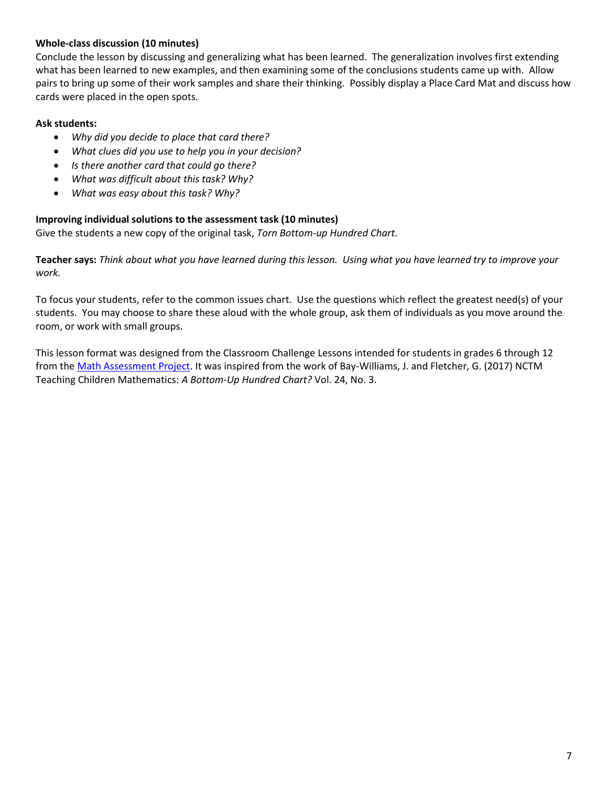#### **Whole-class discussion (10 minutes)**

Conclude the lesson by discussing and generalizing what has been learned. The generalization involves first extending what has been learned to new examples, and then examining some of the conclusions students came up with. Allow pairs to bring up some of their work samples and share their thinking. Possibly display a Place Card Mat and discuss how cards were placed in the open spots.

#### **Ask students:**

- *Why did you decide to place that card there?*
- *What clues did you use to help you in your decision?*
- *Is there another card that could go there?*
- *What was difficult about this task? Why?*
- *What was easy about this task? Why?*

#### **Improving individual solutions to the assessment task (10 minutes)**

Give the students a new copy of the original task, *Torn Bottom-up Hundred Chart.*

**Teacher says:** *Think about what you have learned during this lesson. Using what you have learned try to improve your work.*

To focus your students, refer to the common issues chart. Use the questions which reflect the greatest need(s) of your students. You may choose to share these aloud with the whole group, ask them of individuals as you move around the room, or work with small groups.

This lesson format was designed from the Classroom Challenge Lessons intended for students in grades 6 through 12 from th[e Math Assessment Project.](http://map.mathshell.org/materials/lessons.php?taskid=488&subpage=problem) It was inspired from the work of Bay-Williams, J. and Fletcher, G. (2017) NCTM Teaching Children Mathematics: *A Bottom-Up Hundred Chart?* Vol. 24, No. 3.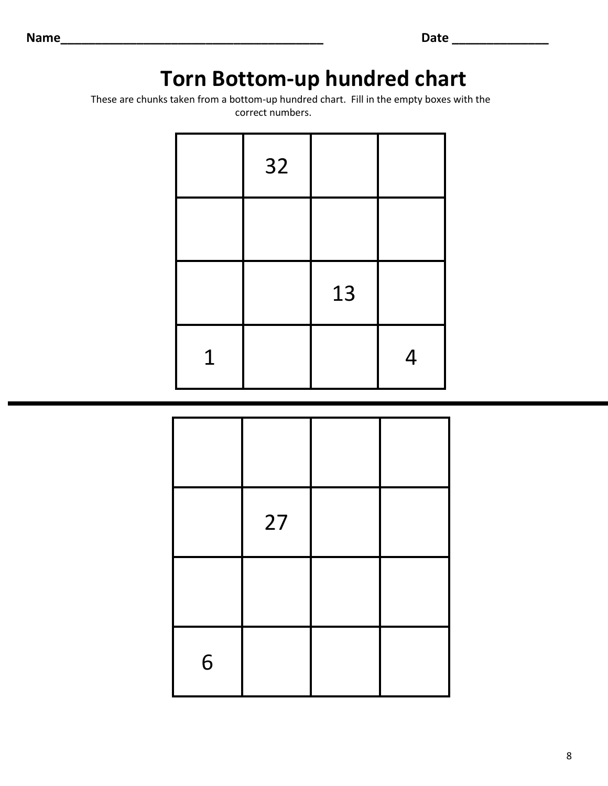# **Torn Bottom-up hundred chart**

 These are chunks taken from a bottom-up hundred chart. Fill in the empty boxes with the correct numbers.

|             | 32 |    |   |
|-------------|----|----|---|
|             |    |    |   |
|             |    | 13 |   |
| $\mathbf 1$ |    |    | 4 |

|   | 27 |  |
|---|----|--|
|   |    |  |
| 6 |    |  |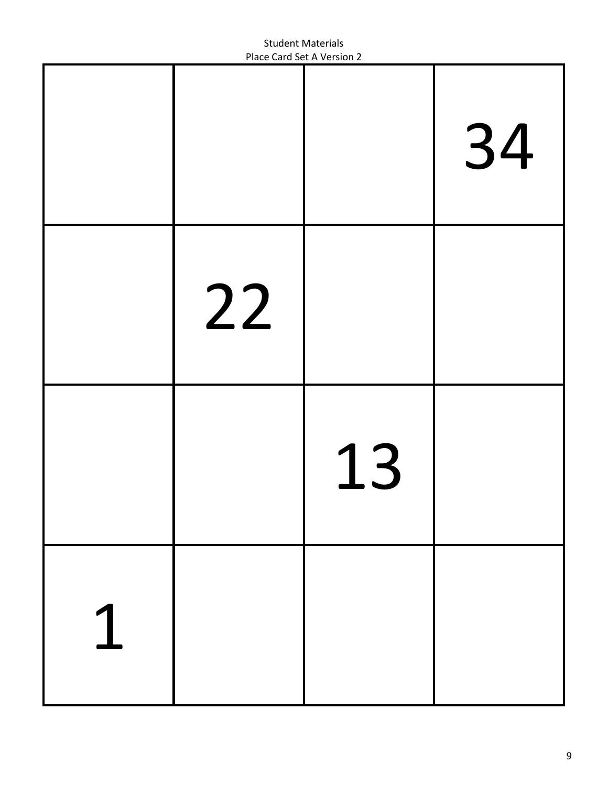|    |    | 34 |
|----|----|----|
| 22 |    |    |
|    | 13 |    |
|    |    |    |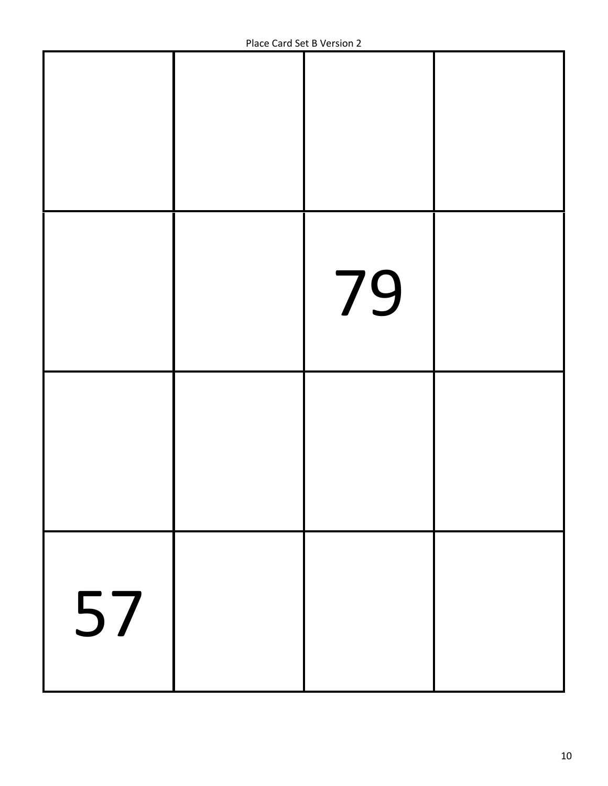|    | 79 |  |
|----|----|--|
|    |    |  |
| 57 |    |  |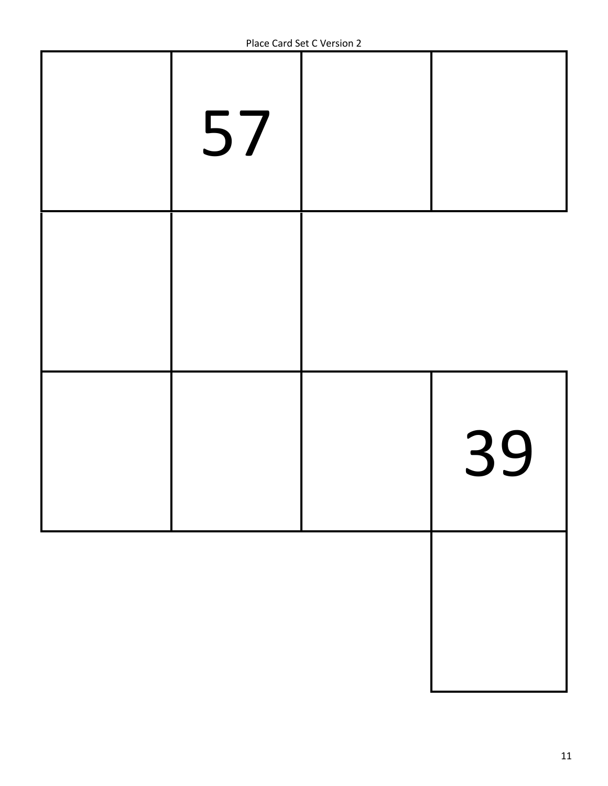| 57 |    |
|----|----|
|    |    |
|    | 39 |
|    |    |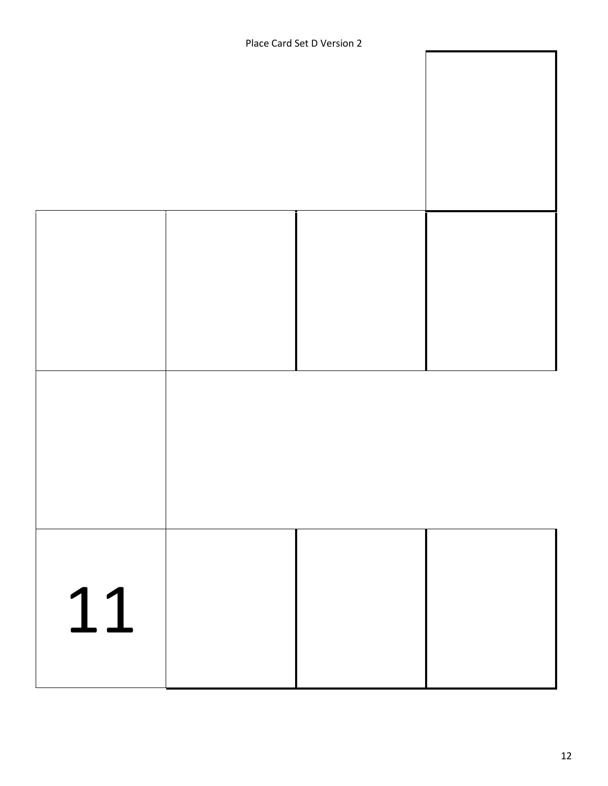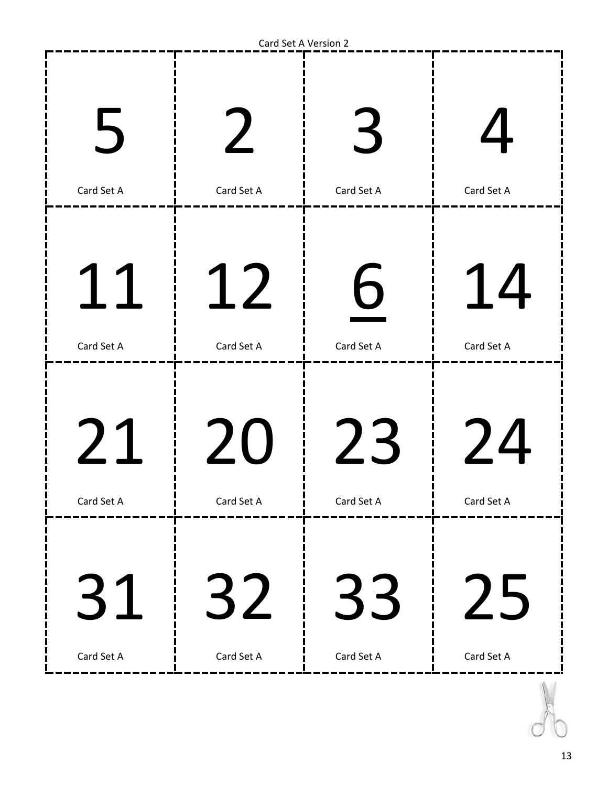| $\overline{5}$ | $\boldsymbol{\mathscr{N}}$ | $\prec$    |                  |
|----------------|----------------------------|------------|------------------|
| Card Set A     | Card Set A                 | Card Set A | Card Set A       |
| Card Set A     | 12<br>Card Set A           | Card Set A | 14<br>Card Set A |
| 21             | 20                         | 23         | 24               |
| Card Set A     | Card Set A                 | Card Set A | Card Set A       |
| 31             | 32                         | 33         | 25               |
| Card Set A     | Card Set A                 | Card Set A | Card Set A       |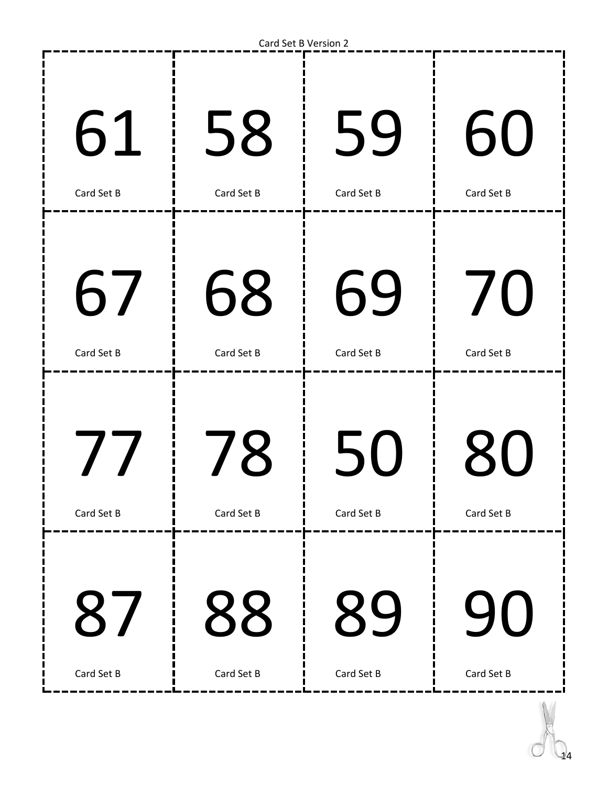| 61         | 58         | 59         | 60         |
|------------|------------|------------|------------|
| Card Set B | Card Set B | Card Set B | Card Set B |
| 67         | 68         | 69         | 70         |
| Card Set B | Card Set B | Card Set B | Card Set B |
| 77         | 78         | 50         | 80         |
| Card Set B | Card Set B | Card Set B | Card Set B |
| 87         | 88         | 89         | 90         |
| Card Set B | Card Set B | Card Set B | Card Set B |

------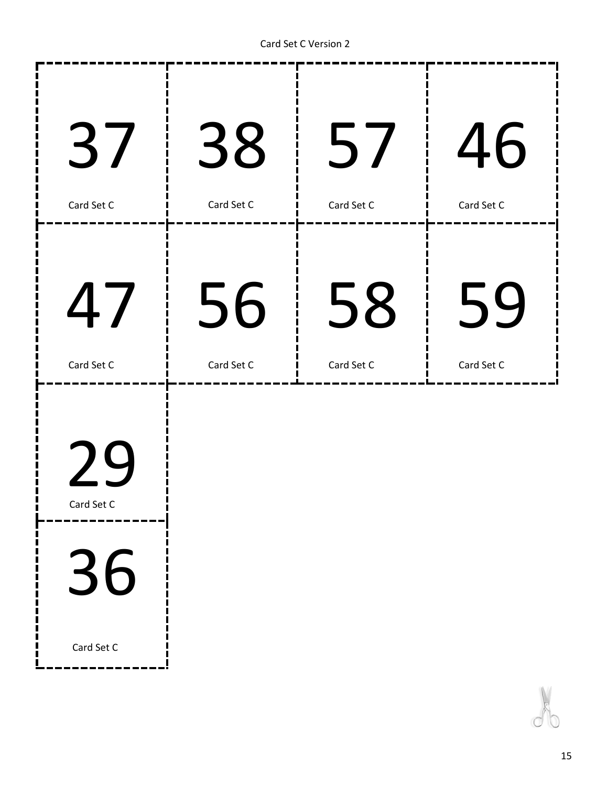. . . . . . . . . . . <u>.</u> . .

--------

| 37               | 38         | 57         | 46         |
|------------------|------------|------------|------------|
| Card Set C       | Card Set C | Card Set C | Card Set C |
| 47               | 56         | 58         | 59         |
| Card Set C       | Card Set C | Card Set C | Card Set C |
| 74<br>Card Set C |            |            |            |
| 36               |            |            |            |

Card Set C

п Ĩ.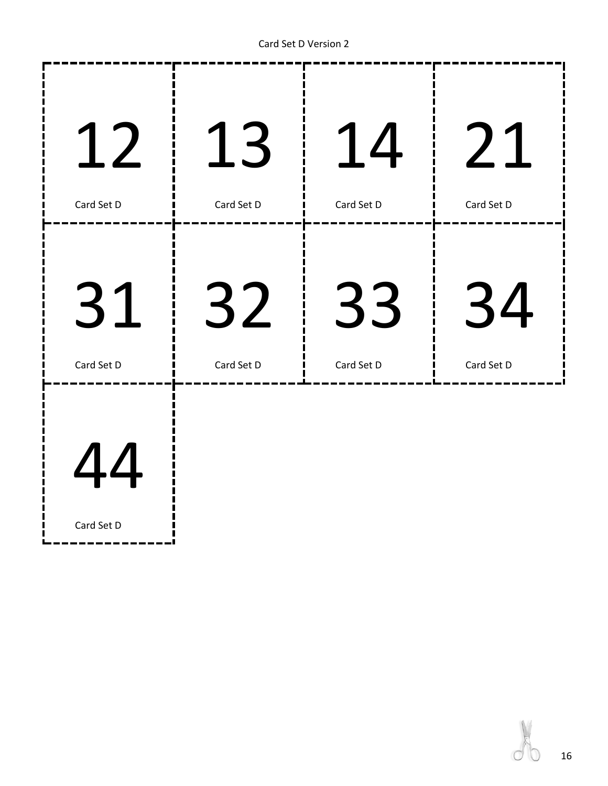Card Set D Version 2



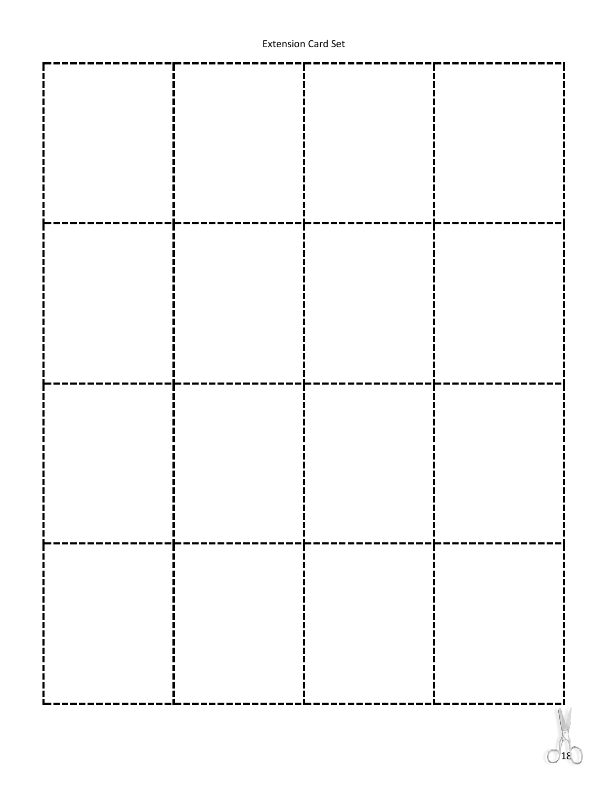#### Extension Card Set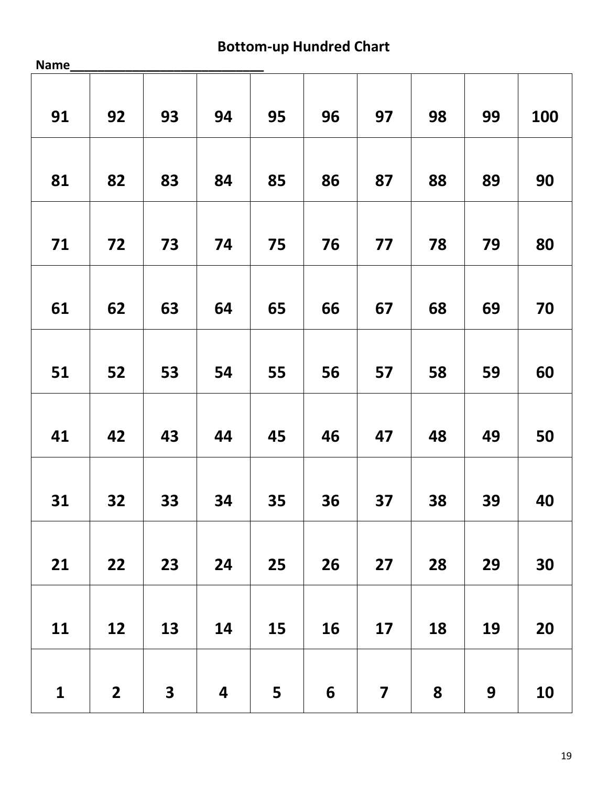## **Bottom-up Hundred Chart**

| Name_        |                         |                         |                         |    |                 |                         |    |                  |            |
|--------------|-------------------------|-------------------------|-------------------------|----|-----------------|-------------------------|----|------------------|------------|
| 91           | 92                      | 93                      | 94                      | 95 | 96              | 97                      | 98 | 99               | <b>100</b> |
| 81           | 82                      | 83                      | 84                      | 85 | 86              | 87                      | 88 | 89               | 90         |
| 71           | 72                      | 73                      | 74                      | 75 | 76              | 77                      | 78 | 79               | 80         |
| 61           | 62                      | 63                      | 64                      | 65 | 66              | 67                      | 68 | 69               | 70         |
| 51           | 52                      | 53                      | 54                      | 55 | 56              | 57                      | 58 | 59               | 60         |
| 41           | 42                      | 43                      | 44                      | 45 | 46              | 47                      | 48 | 49               | 50         |
| 31           | 32                      | 33                      | 34                      | 35 | 36              | 37                      | 38 | 39               | 40         |
| 21           | 22                      | 23                      | 24                      | 25 | 26              | 27                      | 28 | 29               | 30         |
| 11           | 12                      | 13                      | 14                      | 15 | 16              | 17                      | 18 | 19               | 20         |
| $\mathbf{1}$ | $\overline{\mathbf{2}}$ | $\overline{\mathbf{3}}$ | $\overline{\mathbf{4}}$ | 5  | $6\phantom{1}6$ | $\overline{\mathbf{z}}$ | 8  | $\boldsymbol{9}$ | 10         |